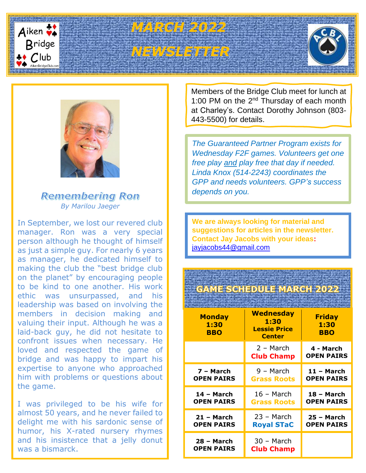

# **Bridge**<br> *C*lub **Entry Property Property Property Property**





# **Remembering Ron** *By Marilou Jaeger*

In September, we lost our revered club manager. Ron was a very special person although he thought of himself as just a simple guy. For nearly 6 years as manager, he dedicated himself to making the club the "best bridge club on the planet" by encouraging people to be kind to one another. His work ethic was unsurpassed, and his leadership was based on involving the members in decision making and valuing their input. Although he was a laid-back guy, he did not hesitate to confront issues when necessary. He loved and respected the game of bridge and was happy to impart his expertise to anyone who approached him with problems or questions about the game.

I was privileged to be his wife for almost 50 years, and he never failed to delight me with his sardonic sense of humor, his X-rated nursery rhymes and his insistence that a jelly donut was a bismarck.

Members of the Bridge Club meet for lunch at 1:00 PM on the 2<sup>nd</sup> Thursday of each month at Charley's. Contact Dorothy Johnson (803- 443-5500) for details.

*The Guaranteed Partner Program exists for Wednesday F2F games. Volunteers get one free play and play free that day if needed. Linda Knox (514-2243) coordinates the GPP and needs volunteers. GPP's success depends on you.*

**We are always looking for material and suggestions for articles in the newsletter. Contact Jay Jacobs with your ideas:** [jayjacobs44@gmail.com](mailto:jayjacobs44@gmail.com)

# **GAME SCHEDULE MARCH 2022**

| <b>Monday</b><br>1:30<br><b>BBO</b> | <b>Wednesday</b><br>1:30<br><b>Lessie Price</b><br><b>Center</b> | <b>Friday</b><br>1:30<br><b>BBO</b> |
|-------------------------------------|------------------------------------------------------------------|-------------------------------------|
|                                     | 2 – March<br><b>Club Champ</b>                                   | 4 - March<br><b>OPEN PAIRS</b>      |
| 7 - March                           | 9 – March                                                        | $11 - March$                        |
| <b>OPEN PAIRS</b>                   | <b>Grass Roots</b>                                               | <b>OPEN PAIRS</b>                   |
| 14 - March                          | 16 – March                                                       | 18 - March                          |
| <b>OPEN PAIRS</b>                   | <b>Grass Roots</b>                                               | <b>OPEN PAIRS</b>                   |
| $21 - March$                        | $23 - March$                                                     | $25 - March$                        |
| <b>OPEN PAIRS</b>                   | <b>Royal STaC</b>                                                | <b>OPEN PAIRS</b>                   |
| 28 - March<br><b>OPEN PAIRS</b>     | 30 - March<br><b>Club Champ</b>                                  |                                     |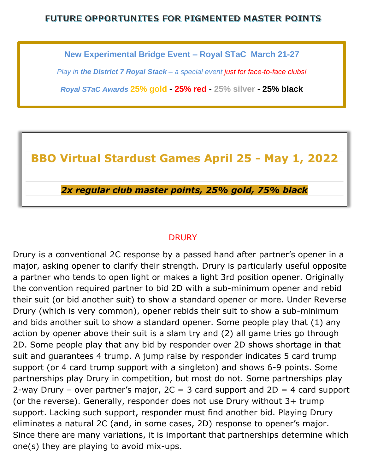### FUTURE OPPORTUNITES FOR PIGMENTED MASTER POINTS

**New Experimental Bridge Event – Royal STaC March 21-27**

*Play in the District 7 Royal Stack – a special event just for face-to-face clubs!*

*Royal STaC Awards* **25% gold - 25% red** - **25% silver** - **25% black**

# **BBO Virtual Stardust Games April 25 - May 1, 2022**

*2x regular club master points, 25% gold, 75% black*

#### **DRURY**

Drury is a conventional 2C response by a passed hand after partner's opener in a major, asking opener to clarify their strength. Drury is particularly useful opposite a partner who tends to open light or makes a light 3rd position opener. Originally the convention required partner to bid 2D with a sub-minimum opener and rebid their suit (or bid another suit) to show a standard opener or more. Under Reverse Drury (which is very common), opener rebids their suit to show a sub-minimum and bids another suit to show a standard opener. Some people play that (1) any action by opener above their suit is a slam try and (2) all game tries go through 2D. Some people play that any bid by responder over 2D shows shortage in that suit and guarantees 4 trump. A jump raise by responder indicates 5 card trump support (or 4 card trump support with a singleton) and shows 6-9 points. Some partnerships play Drury in competition, but most do not. Some partnerships play 2-way Drury – over partner's major,  $2C = 3$  card support and  $2D = 4$  card support (or the reverse). Generally, responder does not use Drury without 3+ trump support. Lacking such support, responder must find another bid. Playing Drury eliminates a natural 2C (and, in some cases, 2D) response to opener's major. Since there are many variations, it is important that partnerships determine which one(s) they are playing to avoid mix-ups.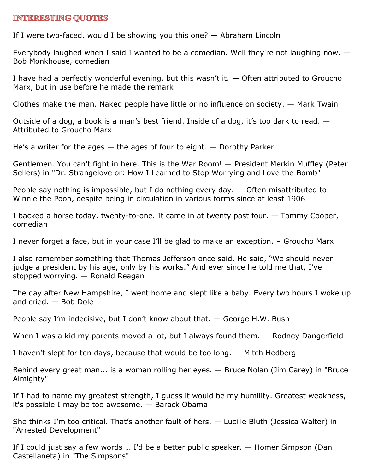#### **INTERESTING QUOTES**

If I were two-faced, would I be showing you this one? — Abraham Lincoln

Everybody laughed when I said I wanted to be a comedian. Well they're not laughing now. — Bob Monkhouse, comedian

I have had a perfectly wonderful evening, but this wasn't it.  $-$  Often attributed to Groucho Marx, but in use before he made the remark

Clothes make the man. Naked people have little or no influence on society. — Mark Twain

Outside of a dog, a book is a man's best friend. Inside of a dog, it's too dark to read.  $-$ Attributed to Groucho Marx

He's a writer for the ages  $-$  the ages of four to eight.  $-$  Dorothy Parker

Gentlemen. You can't fight in here. This is the War Room! — President Merkin Muffley (Peter Sellers) in "Dr. Strangelove or: How I Learned to Stop Worrying and Love the Bomb"

People say nothing is impossible, but I do nothing every day. — Often misattributed to Winnie the Pooh, despite being in circulation in various forms since at least 1906

I backed a horse today, twenty-to-one. It came in at twenty past four. — Tommy Cooper, comedian

I never forget a face, but in your case I'll be glad to make an exception. – Groucho Marx

I also remember something that Thomas Jefferson once said. He said, "We should never judge a president by his age, only by his works." And ever since he told me that, I've stopped worrying. — Ronald Reagan

The day after New Hampshire, I went home and slept like a baby. Every two hours I woke up and cried. — Bob Dole

People say I'm indecisive, but I don't know about that. — George H.W. Bush

When I was a kid my parents moved a lot, but I always found them. — Rodney Dangerfield

I haven't slept for ten days, because that would be too long. — Mitch Hedberg

Behind every great man... is a woman rolling her eyes. — Bruce Nolan (Jim Carey) in "Bruce Almighty"

If I had to name my greatest strength, I guess it would be my humility. Greatest weakness, it's possible I may be too awesome. — Barack Obama

She thinks I'm too critical. That's another fault of hers. — Lucille Bluth (Jessica Walter) in "Arrested Development"

If I could just say a few words … I'd be a better public speaker. — Homer Simpson (Dan Castellaneta) in "The Simpsons"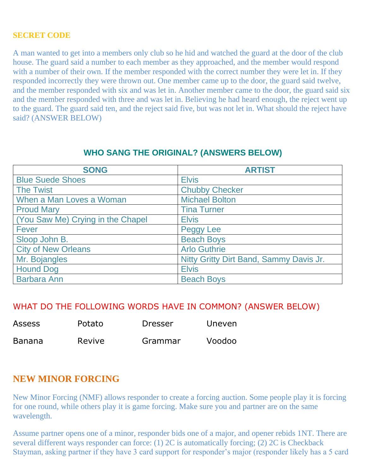#### **SECRET CODE**

A man wanted to get into a members only club so he hid and watched the guard at the door of the club house. The guard said a number to each member as they approached, and the member would respond with a number of their own. If the member responded with the correct number they were let in. If they responded incorrectly they were thrown out. One member came up to the door, the guard said twelve, and the member responded with six and was let in. Another member came to the door, the guard said six and the member responded with three and was let in. Believing he had heard enough, the reject went up to the guard. The guard said ten, and the reject said five, but was not let in. What should the reject have said? (ANSWER BELOW)

#### **WHO SANG THE ORIGINAL? (ANSWERS BELOW)**

| <b>SONG</b>                       | <b>ARTIST</b>                           |
|-----------------------------------|-----------------------------------------|
| <b>Blue Suede Shoes</b>           | <b>Elvis</b>                            |
| <b>The Twist</b>                  | <b>Chubby Checker</b>                   |
| When a Man Loves a Woman          | <b>Michael Bolton</b>                   |
| <b>Proud Mary</b>                 | <b>Tina Turner</b>                      |
| (You Saw Me) Crying in the Chapel | <b>Elvis</b>                            |
| Fever                             | Peggy Lee                               |
| Sloop John B.                     | <b>Beach Boys</b>                       |
| <b>City of New Orleans</b>        | <b>Arlo Guthrie</b>                     |
| Mr. Bojangles                     | Nitty Gritty Dirt Band, Sammy Davis Jr. |
| <b>Hound Dog</b>                  | <b>Elvis</b>                            |
| <b>Barbara Ann</b>                | <b>Beach Boys</b>                       |

#### WHAT DO THE FOLLOWING WORDS HAVE IN COMMON? (ANSWER BELOW)

| <b>Assess</b> | Potato | <b>Dresser</b> | <b>Uneven</b> |
|---------------|--------|----------------|---------------|
| <b>Banana</b> | Revive | Grammar        | Voodoo        |

# **NEW MINOR FORCING**

New Minor Forcing (NMF) allows responder to create a forcing auction. Some people play it is forcing for one round, while others play it is game forcing. Make sure you and partner are on the same wavelength.

Assume partner opens one of a minor, responder bids one of a major, and opener rebids 1NT. There are several different ways responder can force: (1) 2C is automatically forcing; (2) 2C is Checkback Stayman, asking partner if they have 3 card support for responder's major (responder likely has a 5 card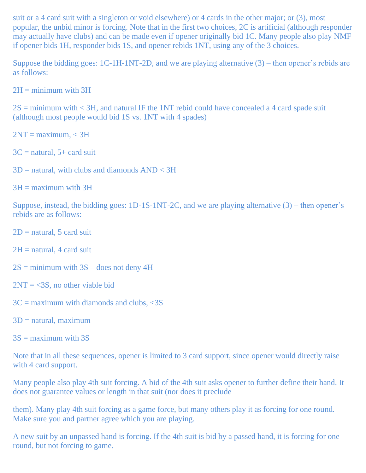suit or a 4 card suit with a singleton or void elsewhere) or 4 cards in the other major; or (3), most popular, the unbid minor is forcing. Note that in the first two choices, 2C is artificial (although responder may actually have clubs) and can be made even if opener originally bid 1C. Many people also play NMF if opener bids 1H, responder bids 1S, and opener rebids 1NT, using any of the 3 choices.

Suppose the bidding goes: 1C-1H-1NT-2D, and we are playing alternative (3) – then opener's rebids are as follows:

 $2H =$  minimum with  $3H$ 

 $2S =$  minimum with  $\lt 3H$ , and natural IF the 1NT rebid could have concealed a 4 card spade suit (although most people would bid 1S vs. 1NT with 4 spades)

 $2NT = maximum, < 3H$ 

 $3C =$  natural,  $5 +$  card suit

 $3D =$  natural, with clubs and diamonds  $AND < 3H$ 

 $3H =$  maximum with  $3H$ 

Suppose, instead, the bidding goes: 1D-1S-1NT-2C, and we are playing alternative (3) – then opener's rebids are as follows:

 $2D$  = natural, 5 card suit

 $2H =$  natural, 4 card suit

- $2S =$  minimum with  $3S -$  does not deny 4H
- $2NT = < 3S$ , no other viable bid
- $3C =$  maximum with diamonds and clubs,  $\langle 3S \rangle$
- $3D =$  natural, maximum

 $3S =$  maximum with  $3S$ 

Note that in all these sequences, opener is limited to 3 card support, since opener would directly raise with 4 card support.

Many people also play 4th suit forcing. A bid of the 4th suit asks opener to further define their hand. It does not guarantee values or length in that suit (nor does it preclude

them). Many play 4th suit forcing as a game force, but many others play it as forcing for one round. Make sure you and partner agree which you are playing.

A new suit by an unpassed hand is forcing. If the 4th suit is bid by a passed hand, it is forcing for one round, but not forcing to game.